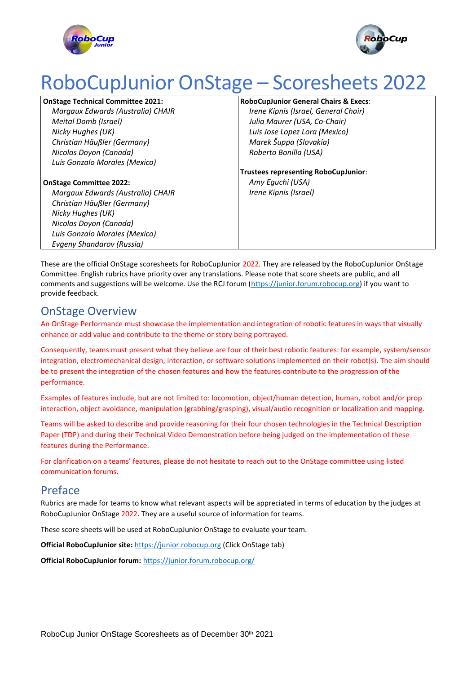



# RoboCupJunior OnStage – Scoresheets 2022

**OnStage Technical Committee 2021:** *Margaux Edwards (Australia) CHAIR Meital Domb (Israel) Nicky Hughes (UK) Christian Häußler (Germany) Nicolas Doyon (Canada) Luis Gonzalo Morales (Mexico)*

**RoboCupJunior General Chairs & Execs**:

*Irene Kipnis (Israel, General Chair) Julia Maurer (USA, Co-Chair) Luis Jose Lopez Lora (Mexico) Marek Šuppa (Slovakia) Roberto Bonilla (USA)*

**Trustees representing RoboCupJunior**: *Amy Eguchi (USA) Irene Kipnis (Israel)*

**OnStage Committee 2022:** *Margaux Edwards (Australia) CHAIR Christian Häußler (Germany) Nicky Hughes (UK) Nicolas Doyon (Canada) Luis Gonzalo Morales (Mexico) Evgeny Shandarov (Russia)*

These are the official OnStage scoresheets for RoboCupJunior 2022. They are released by the RoboCupJunior OnStage Committee. English rubrics have priority over any translations. Please note that score sheets are public, and all comments and suggestions will be welcome. Use the RCJ forum [\(https://junior.forum.robocup.org\)](https://junior.forum.robocup.org/) if you want to provide feedback.

## OnStage Overview

An OnStage Performance must showcase the implementation and integration of robotic features in ways that visually enhance or add value and contribute to the theme or story being portrayed.

Consequently, teams must present what they believe are four of their best robotic features: for example, system/sensor integration, electromechanical design, interaction, or software solutions implemented on their robot(s). The aim should be to present the integration of the chosen features and how the features contribute to the progression of the performance.

Examples of features include, but are not limited to: locomotion, object/human detection, human, robot and/or prop interaction, object avoidance, manipulation (grabbing/grasping), visual/audio recognition or localization and mapping.

Teams will be asked to describe and provide reasoning for their four chosen technologies in the Technical Description Paper (TDP) and during their Technical Video Demonstration before being judged on the implementation of these features during the Performance.

For clarification on a teams' features, please do not hesitate to reach out to the OnStage committee using listed communication forums.

### Preface

Rubrics are made for teams to know what relevant aspects will be appreciated in terms of education by the judges at RoboCupJunior OnStage 2022. They are a useful source of information for teams.

These score sheets will be used at RoboCupJunior OnStage to evaluate your team.

**Official RoboCupJunior site:** [https://junior.robocup.org](https://junior.robocup.org/) (Click OnStage tab)

**Official RoboCupJunior forum:** <https://junior.forum.robocup.org/>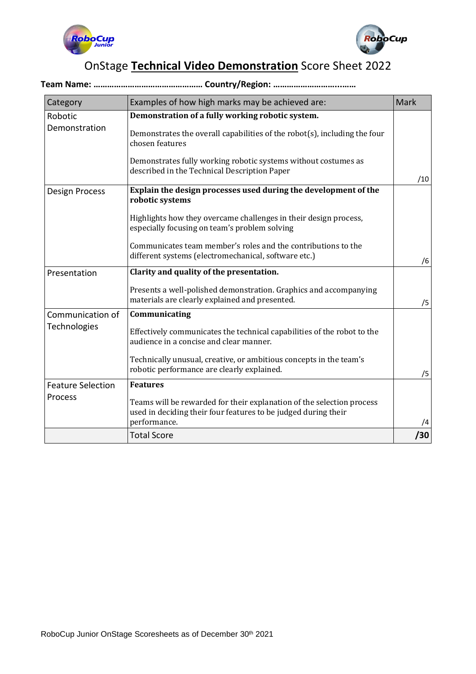



# OnStage **Technical Video Demonstration** Score Sheet 2022

#### **Team Name: ………………………………………… Country/Region: ………………………...……**

| Category                         | Examples of how high marks may be achieved are:                                                                                                         | <b>Mark</b> |
|----------------------------------|---------------------------------------------------------------------------------------------------------------------------------------------------------|-------------|
| Robotic<br>Demonstration         | Demonstration of a fully working robotic system.                                                                                                        |             |
|                                  | Demonstrates the overall capabilities of the robot(s), including the four<br>chosen features                                                            |             |
|                                  | Demonstrates fully working robotic systems without costumes as<br>described in the Technical Description Paper                                          | /10         |
| Design Process                   | Explain the design processes used during the development of the<br>robotic systems                                                                      |             |
|                                  | Highlights how they overcame challenges in their design process,<br>especially focusing on team's problem solving                                       |             |
|                                  | Communicates team member's roles and the contributions to the<br>different systems (electromechanical, software etc.)                                   | /6          |
| Presentation                     | Clarity and quality of the presentation.                                                                                                                |             |
|                                  | Presents a well-polished demonstration. Graphics and accompanying<br>materials are clearly explained and presented.                                     | /5          |
| Communication of<br>Technologies | Communicating                                                                                                                                           |             |
|                                  | Effectively communicates the technical capabilities of the robot to the<br>audience in a concise and clear manner.                                      |             |
|                                  | Technically unusual, creative, or ambitious concepts in the team's<br>robotic performance are clearly explained.                                        | /5          |
| <b>Feature Selection</b>         | <b>Features</b>                                                                                                                                         |             |
| Process                          | Teams will be rewarded for their explanation of the selection process<br>used in deciding their four features to be judged during their<br>performance. | /4          |
|                                  | <b>Total Score</b>                                                                                                                                      | /30         |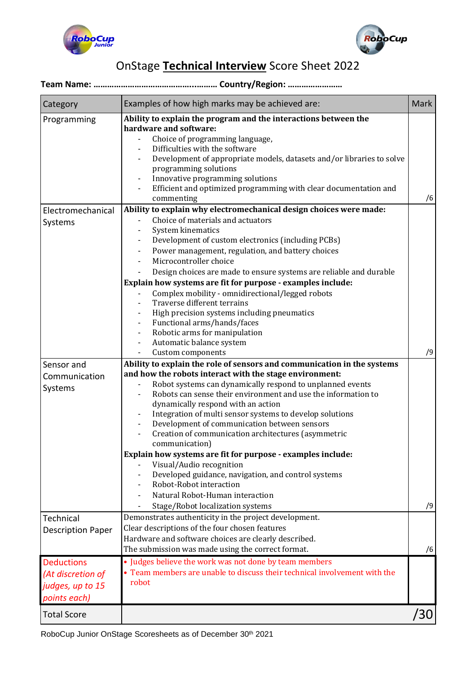



# OnStage **Technical Interview** Score Sheet 2022

#### **Team Name: ……………………………………...……… Country/Region: ……………………**

| Category                                                                   | Examples of how high marks may be achieved are:                                                                                                                                                                                                                                                                                                                                                                                                                                                                                                                                                                                                                                                                                                                      | <b>Mark</b> |
|----------------------------------------------------------------------------|----------------------------------------------------------------------------------------------------------------------------------------------------------------------------------------------------------------------------------------------------------------------------------------------------------------------------------------------------------------------------------------------------------------------------------------------------------------------------------------------------------------------------------------------------------------------------------------------------------------------------------------------------------------------------------------------------------------------------------------------------------------------|-------------|
| Programming                                                                | Ability to explain the program and the interactions between the<br>hardware and software:<br>Choice of programming language,<br>Difficulties with the software<br>Development of appropriate models, datasets and/or libraries to solve<br>programming solutions                                                                                                                                                                                                                                                                                                                                                                                                                                                                                                     |             |
|                                                                            | Innovative programming solutions<br>Efficient and optimized programming with clear documentation and<br>commenting                                                                                                                                                                                                                                                                                                                                                                                                                                                                                                                                                                                                                                                   | /6          |
| Electromechanical<br>Systems                                               | Ability to explain why electromechanical design choices were made:<br>Choice of materials and actuators<br>System kinematics<br>Development of custom electronics (including PCBs)<br>Power management, regulation, and battery choices<br>Microcontroller choice<br>Design choices are made to ensure systems are reliable and durable<br>Explain how systems are fit for purpose - examples include:<br>Complex mobility - omnidirectional/legged robots<br>Traverse different terrains<br>High precision systems including pneumatics<br>Functional arms/hands/faces<br>Robotic arms for manipulation<br>Automatic balance system                                                                                                                                 |             |
| Sensor and<br>Communication<br>Systems                                     | Custom components<br>Ability to explain the role of sensors and communication in the systems<br>and how the robots interact with the stage environment:<br>Robot systems can dynamically respond to unplanned events<br>Robots can sense their environment and use the information to<br>dynamically respond with an action<br>Integration of multi sensor systems to develop solutions<br>Development of communication between sensors<br>Creation of communication architectures (asymmetric<br>communication)<br>Explain how systems are fit for purpose - examples include:<br>Visual/Audio recognition<br>Developed guidance, navigation, and control systems<br>Robot-Robot interaction<br>Natural Robot-Human interaction<br>Stage/Robot localization systems | /9<br>/9    |
| <b>Technical</b><br><b>Description Paper</b>                               | Demonstrates authenticity in the project development.<br>Clear descriptions of the four chosen features<br>Hardware and software choices are clearly described.<br>The submission was made using the correct format.                                                                                                                                                                                                                                                                                                                                                                                                                                                                                                                                                 | /6          |
| <b>Deductions</b><br>(At discretion of<br>judges, up to 15<br>points each) | • Judges believe the work was not done by team members<br>• Team members are unable to discuss their technical involvement with the<br>robot                                                                                                                                                                                                                                                                                                                                                                                                                                                                                                                                                                                                                         |             |
| <b>Total Score</b>                                                         |                                                                                                                                                                                                                                                                                                                                                                                                                                                                                                                                                                                                                                                                                                                                                                      | '3C         |

RoboCup Junior OnStage Scoresheets as of December 30th 2021